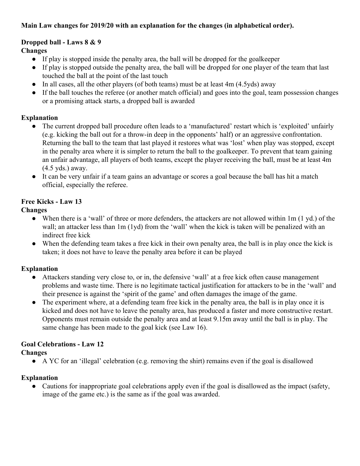## **Main Law changes for 2019/20 with an explanation for the changes (in alphabetical order).**

#### **Dropped ball - Laws 8 & 9**

**Changes**

- If play is stopped inside the penalty area, the ball will be dropped for the goalkeeper
- If play is stopped outside the penalty area, the ball will be dropped for one player of the team that last touched the ball at the point of the last touch
- In all cases, all the other players (of both teams) must be at least 4m (4.5yds) away
- If the ball touches the referee (or another match official) and goes into the goal, team possession changes or a promising attack starts, a dropped ball is awarded

#### **Explanation**

- The current dropped ball procedure often leads to a 'manufactured' restart which is 'exploited' unfairly (e.g. kicking the ball out for a throw-in deep in the opponents' half) or an aggressive confrontation. Returning the ball to the team that last played it restores what was 'lost' when play was stopped, except in the penalty area where it is simpler to return the ball to the goalkeeper. To prevent that team gaining an unfair advantage, all players of both teams, except the player receiving the ball, must be at least 4m (4.5 yds.) away.
- It can be very unfair if a team gains an advantage or scores a goal because the ball has hit a match official, especially the referee.

#### **Free Kicks - Law 13**

**Changes**

- When there is a 'wall' of three or more defenders, the attackers are not allowed within 1m (1 yd.) of the wall; an attacker less than 1m (1yd) from the 'wall' when the kick is taken will be penalized with an indirect free kick
- When the defending team takes a free kick in their own penalty area, the ball is in play once the kick is taken; it does not have to leave the penalty area before it can be played

#### **Explanation**

- Attackers standing very close to, or in, the defensive 'wall' at a free kick often cause management problems and waste time. There is no legitimate tactical justification for attackers to be in the 'wall' and their presence is against the 'spirit of the game' and often damages the image of the game.
- The experiment where, at a defending team free kick in the penalty area, the ball is in play once it is kicked and does not have to leave the penalty area, has produced a faster and more constructive restart. Opponents must remain outside the penalty area and at least 9.15m away until the ball is in play. The same change has been made to the goal kick (see Law 16).

# **Goal Celebrations - Law 12**

#### **Changes**

● A YC for an 'illegal' celebration (e.g. removing the shirt) remains even if the goal is disallowed

#### **Explanation**

• Cautions for inappropriate goal celebrations apply even if the goal is disallowed as the impact (safety, image of the game etc.) is the same as if the goal was awarded.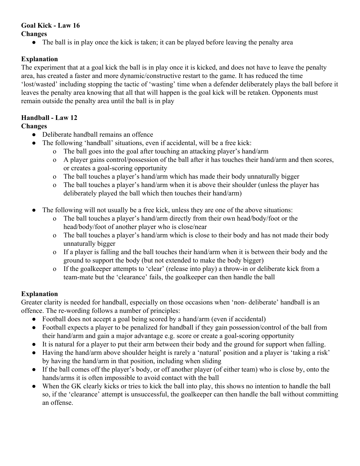# **Goal Kick - Law 16**

## **Changes**

• The ball is in play once the kick is taken; it can be played before leaving the penalty area

# **Explanation**

The experiment that at a goal kick the ball is in play once it is kicked, and does not have to leave the penalty area, has created a faster and more dynamic/constructive restart to the game. It has reduced the time 'lost/wasted' including stopping the tactic of 'wasting' time when a defender deliberately plays the ball before it leaves the penalty area knowing that all that will happen is the goal kick will be retaken. Opponents must remain outside the penalty area until the ball is in play

# **Handball - Law 12**

## **Changes**

- Deliberate handball remains an offence
	- The following 'handball' situations, even if accidental, will be a free kick:
		- o The ball goes into the goal after touching an attacking player's hand/arm
		- o A player gains control/possession of the ball after it has touches their hand/arm and then scores, or creates a goal-scoring opportunity
		- o The ball touches a player's hand/arm which has made their body unnaturally bigger
		- o The ball touches a player's hand/arm when it is above their shoulder (unless the player has deliberately played the ball which then touches their hand/arm)
- The following will not usually be a free kick, unless they are one of the above situations:
	- o The ball touches a player's hand/arm directly from their own head/body/foot or the head/body/foot of another player who is close/near
	- o The ball touches a player's hand/arm which is close to their body and has not made their body unnaturally bigger
	- o If a player is falling and the ball touches their hand/arm when it is between their body and the ground to support the body (but not extended to make the body bigger)
	- o If the goalkeeper attempts to 'clear' (release into play) a throw-in or deliberate kick from a team-mate but the 'clearance' fails, the goalkeeper can then handle the ball

# **Explanation**

Greater clarity is needed for handball, especially on those occasions when 'non- deliberate' handball is an offence. The re-wording follows a number of principles:

- Football does not accept a goal being scored by a hand/arm (even if accidental)
- Football expects a player to be penalized for handball if they gain possession/control of the ball from their hand/arm and gain a major advantage e.g. score or create a goal-scoring opportunity
- It is natural for a player to put their arm between their body and the ground for support when falling.
- Having the hand/arm above shoulder height is rarely a 'natural' position and a player is 'taking a risk' by having the hand/arm in that position, including when sliding
- If the ball comes off the player's body, or off another player (of either team) who is close by, onto the hands/arms it is often impossible to avoid contact with the ball
- When the GK clearly kicks or tries to kick the ball into play, this shows no intention to handle the ball so, if the 'clearance' attempt is unsuccessful, the goalkeeper can then handle the ball without committing an offense.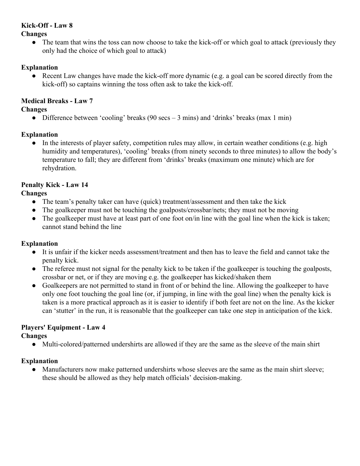## **Kick-Off - Law 8**

#### **Changes**

• The team that wins the toss can now choose to take the kick-off or which goal to attack (previously they only had the choice of which goal to attack)

### **Explanation**

• Recent Law changes have made the kick-off more dynamic (e.g. a goal can be scored directly from the kick-off) so captains winning the toss often ask to take the kick-off.

## **Medical Breaks - Law 7**

### **Changes**

• Difference between 'cooling' breaks (90 secs  $-3$  mins) and 'drinks' breaks (max 1 min)

## **Explanation**

In the interests of player safety, competition rules may allow, in certain weather conditions (e.g. high humidity and temperatures), 'cooling' breaks (from ninety seconds to three minutes) to allow the body's temperature to fall; they are different from 'drinks' breaks (maximum one minute) which are for rehydration.

# **Penalty Kick - Law 14**

# **Changes**

- The team's penalty taker can have (quick) treatment/assessment and then take the kick
- The goalkeeper must not be touching the goalposts/crossbar/nets; they must not be moving
- The goalkeeper must have at least part of one foot on/in line with the goal line when the kick is taken; cannot stand behind the line

#### **Explanation**

- It is unfair if the kicker needs assessment/treatment and then has to leave the field and cannot take the penalty kick.
- The referee must not signal for the penalty kick to be taken if the goalkeeper is touching the goalposts, crossbar or net, or if they are moving e.g. the goalkeeper has kicked/shaken them
- Goalkeepers are not permitted to stand in front of or behind the line. Allowing the goalkeeper to have only one foot touching the goal line (or, if jumping, in line with the goal line) when the penalty kick is taken is a more practical approach as it is easier to identify if both feet are not on the line. As the kicker can 'stutter' in the run, it is reasonable that the goalkeeper can take one step in anticipation of the kick.

# **Players' Equipment - Law 4**

#### **Changes**

• Multi-colored/patterned undershirts are allowed if they are the same as the sleeve of the main shirt

# **Explanation**

• Manufacturers now make patterned undershirts whose sleeves are the same as the main shirt sleeve; these should be allowed as they help match officials' decision-making.